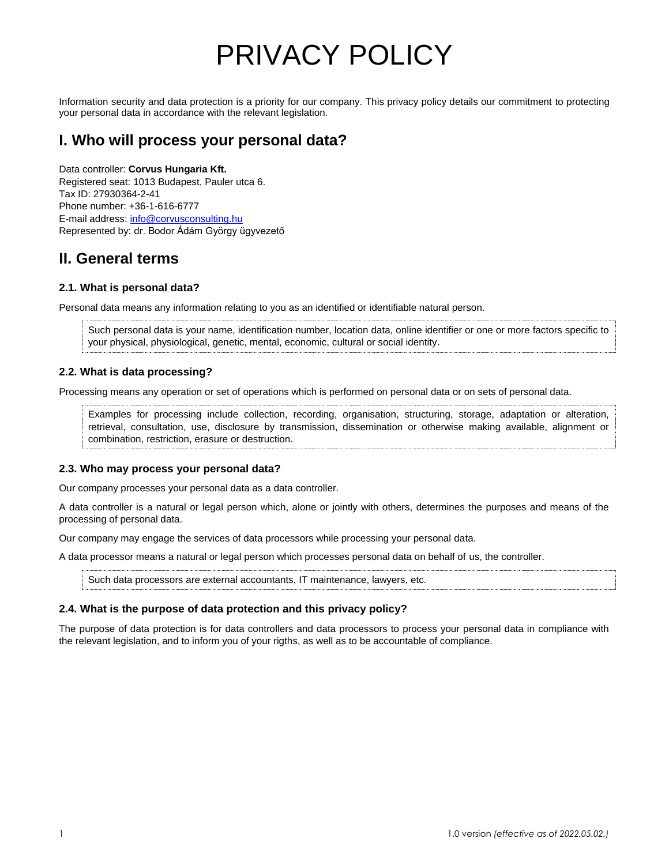# PRIVACY POLICY

Information security and data protection is a priority for our company. This privacy policy details our commitment to protecting your personal data in accordance with the relevant legislation.

### **I. Who will process your personal data?**

Data controller: **Corvus Hungaria Kft.** Registered seat: 1013 Budapest, Pauler utca 6. Tax ID: 27930364-2-41 Phone number: +36-1-616-6777 E-mail address: [info@corvusconsulting.hu](mailto:info@corvusconsulting.hu) Represented by: dr. Bodor Ádám György ügyvezető

### **II. General terms**

### **2.1. What is personal data?**

Personal data means any information relating to you as an identified or identifiable natural person.

Such personal data is your name, identification number, location data, online identifier or one or more factors specific to your physical, physiological, genetic, mental, economic, cultural or social identity.

### **2.2. What is data processing?**

Processing means any operation or set of operations which is performed on personal data or on sets of personal data.

Examples for processing include collection, recording, organisation, structuring, storage, adaptation or alteration, retrieval, consultation, use, disclosure by transmission, dissemination or otherwise making available, alignment or combination, restriction, erasure or destruction.

### **2.3. Who may process your personal data?**

Our company processes your personal data as a data controller.

A data controller is a natural or legal person which, alone or jointly with others, determines the purposes and means of the processing of personal data.

Our company may engage the services of data processors while processing your personal data.

A data processor means a natural or legal person which processes personal data on behalf of us, the controller.

Such data processors are external accountants, IT maintenance, lawyers, etc.

### **2.4. What is the purpose of data protection and this privacy policy?**

The purpose of data protection is for data controllers and data processors to process your personal data in compliance with the relevant legislation, and to inform you of your rigths, as well as to be accountable of compliance.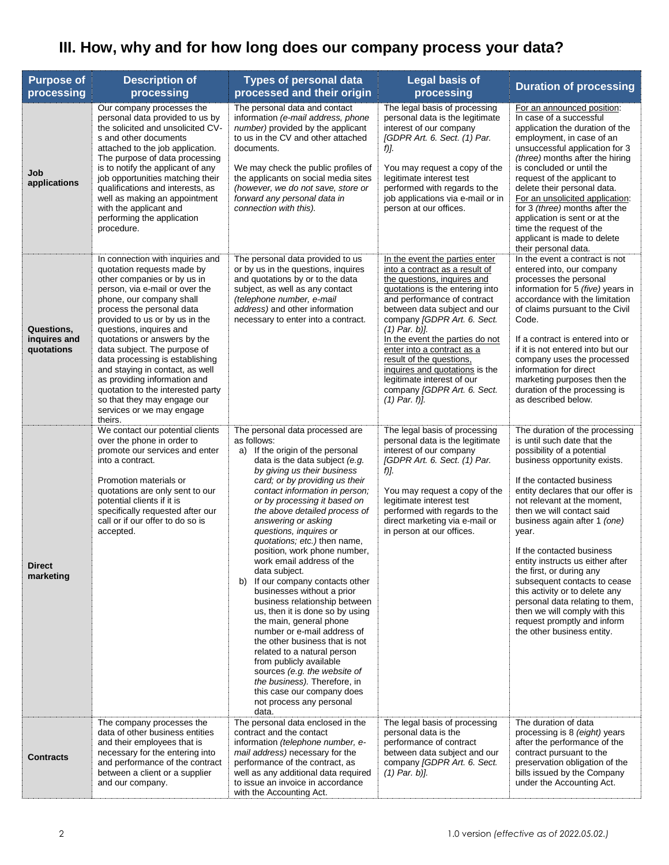## **III. How, why and for how long does our company process your data?**

| <b>Purpose of</b><br>processing          | <b>Description of</b><br>processing                                                                                                                                                                                                                                                                                                                                                                                                                                                                                                     | <b>Types of personal data</b><br>processed and their origin                                                                                                                                                                                                                                                                                                                                                                                                                                                                                                                                                                                                                                                                                                                                                                                                                               | <b>Legal basis of</b><br>processing                                                                                                                                                                                                                                                                                                                                                                                                                                  | <b>Duration of processing</b>                                                                                                                                                                                                                                                                                                                                                                                                                                                                                                                                                                      |
|------------------------------------------|-----------------------------------------------------------------------------------------------------------------------------------------------------------------------------------------------------------------------------------------------------------------------------------------------------------------------------------------------------------------------------------------------------------------------------------------------------------------------------------------------------------------------------------------|-------------------------------------------------------------------------------------------------------------------------------------------------------------------------------------------------------------------------------------------------------------------------------------------------------------------------------------------------------------------------------------------------------------------------------------------------------------------------------------------------------------------------------------------------------------------------------------------------------------------------------------------------------------------------------------------------------------------------------------------------------------------------------------------------------------------------------------------------------------------------------------------|----------------------------------------------------------------------------------------------------------------------------------------------------------------------------------------------------------------------------------------------------------------------------------------------------------------------------------------------------------------------------------------------------------------------------------------------------------------------|----------------------------------------------------------------------------------------------------------------------------------------------------------------------------------------------------------------------------------------------------------------------------------------------------------------------------------------------------------------------------------------------------------------------------------------------------------------------------------------------------------------------------------------------------------------------------------------------------|
| Job<br>applications                      | Our company processes the<br>personal data provided to us by<br>the solicited and unsolicited CV-<br>s and other documents<br>attached to the job application.<br>The purpose of data processing<br>is to notify the applicant of any<br>job opportunities matching their<br>qualifications and interests, as<br>well as making an appointment<br>with the applicant and<br>performing the application<br>procedure.                                                                                                                    | The personal data and contact<br>information (e-mail address, phone<br>number) provided by the applicant<br>to us in the CV and other attached<br>documents.<br>We may check the public profiles of<br>the applicants on social media sites<br>(however, we do not save, store or<br>forward any personal data in<br>connection with this).                                                                                                                                                                                                                                                                                                                                                                                                                                                                                                                                               | The legal basis of processing<br>personal data is the legitimate<br>interest of our company<br>[GDPR Art. 6. Sect. (1) Par.<br>f)].<br>You may request a copy of the<br>legitimate interest test<br>performed with regards to the<br>job applications via e-mail or in<br>person at our offices.                                                                                                                                                                     | For an announced position:<br>In case of a successful<br>application the duration of the<br>employment, in case of an<br>unsuccessful application for 3<br>(three) months after the hiring<br>is concluded or until the<br>request of the applicant to<br>delete their personal data.<br>For an unsolicited application:<br>for 3 (three) months after the<br>application is sent or at the<br>time the request of the<br>applicant is made to delete<br>their personal data.                                                                                                                      |
| Questions,<br>inquires and<br>quotations | In connection with inquiries and<br>quotation requests made by<br>other companies or by us in<br>person, via e-mail or over the<br>phone, our company shall<br>process the personal data<br>provided to us or by us in the<br>questions, inquires and<br>quotations or answers by the<br>data subject. The purpose of<br>data processing is establishing<br>and staying in contact, as well<br>as providing information and<br>quotation to the interested party<br>so that they may engage our<br>services or we may engage<br>theirs. | The personal data provided to us<br>or by us in the questions, inquires<br>and quotations by or to the data<br>subject, as well as any contact<br>(telephone number, e-mail<br>address) and other information<br>necessary to enter into a contract.                                                                                                                                                                                                                                                                                                                                                                                                                                                                                                                                                                                                                                      | In the event the parties enter<br>into a contract as a result of<br>the questions, inquires and<br>quotations is the entering into<br>and performance of contract<br>between data subject and our<br>company [GDPR Art. 6. Sect.<br>$(1)$ Par. b)].<br>In the event the parties do not<br>enter into a contract as a<br>result of the questions,<br>inquires and quotations is the<br>legitimate interest of our<br>company [GDPR Art. 6. Sect.<br>$(1)$ Par. $f$ ]. | In the event a contract is not<br>entered into, our company<br>processes the personal<br>information for 5 (five) years in<br>accordance with the limitation<br>of claims pursuant to the Civil<br>Code.<br>If a contract is entered into or<br>if it is not entered into but our<br>company uses the processed<br>information for direct<br>marketing purposes then the<br>duration of the processing is<br>as described below.                                                                                                                                                                   |
| <b>Direct</b><br>marketing               | We contact our potential clients<br>over the phone in order to<br>promote our services and enter<br>into a contract.<br>Promotion materials or<br>quotations are only sent to our<br>potential clients if it is<br>specifically requested after our<br>call or if our offer to do so is<br>accepted.                                                                                                                                                                                                                                    | The personal data processed are<br>as follows:<br>a) If the origin of the personal<br>data is the data subject (e.g.<br>by giving us their business<br>card; or by providing us their<br>contact information in person;<br>or by processing it based on<br>the above detailed process of<br>answering or asking<br>questions, inquires or<br>quotations; etc.) then name,<br>position, work phone number,<br>work email address of the<br>data subject.<br>b)<br>If our company contacts other<br>businesses without a prior<br>business relationship between<br>us, then it is done so by using<br>the main, general phone<br>number or e-mail address of<br>the other business that is not<br>related to a natural person<br>from publicly available<br>sources (e.g. the website of<br>the business). Therefore, in<br>this case our company does<br>not process any personal<br>data. | The legal basis of processing<br>personal data is the legitimate<br>interest of our company<br>[GDPR Art. 6. Sect. (1) Par.<br>f)].<br>You may request a copy of the<br>legitimate interest test<br>performed with regards to the<br>direct marketing via e-mail or<br>in person at our offices.                                                                                                                                                                     | The duration of the processing<br>is until such date that the<br>possibility of a potential<br>business opportunity exists.<br>If the contacted business<br>entity declares that our offer is<br>not relevant at the moment,<br>then we will contact said<br>business again after 1 (one)<br>year.<br>If the contacted business<br>entity instructs us either after<br>the first, or during any<br>subsequent contacts to cease<br>this activity or to delete any<br>personal data relating to them,<br>then we will comply with this<br>request promptly and inform<br>the other business entity. |
| <b>Contracts</b>                         | The company processes the<br>data of other business entities<br>and their employees that is<br>necessary for the entering into<br>and performance of the contract<br>between a client or a supplier<br>and our company.                                                                                                                                                                                                                                                                                                                 | The personal data enclosed in the<br>contract and the contact<br>information (telephone number, e-<br><i>mail address</i> ) necessary for the<br>performance of the contract, as<br>well as any additional data required<br>to issue an invoice in accordance<br>with the Accounting Act.                                                                                                                                                                                                                                                                                                                                                                                                                                                                                                                                                                                                 | The legal basis of processing<br>personal data is the<br>performance of contract<br>between data subject and our<br>company [GDPR Art. 6. Sect.<br>$(1)$ Par. b)].                                                                                                                                                                                                                                                                                                   | The duration of data<br>processing is 8 (eight) years<br>after the performance of the<br>contract pursuant to the<br>preservation obligation of the<br>bills issued by the Company<br>under the Accounting Act.                                                                                                                                                                                                                                                                                                                                                                                    |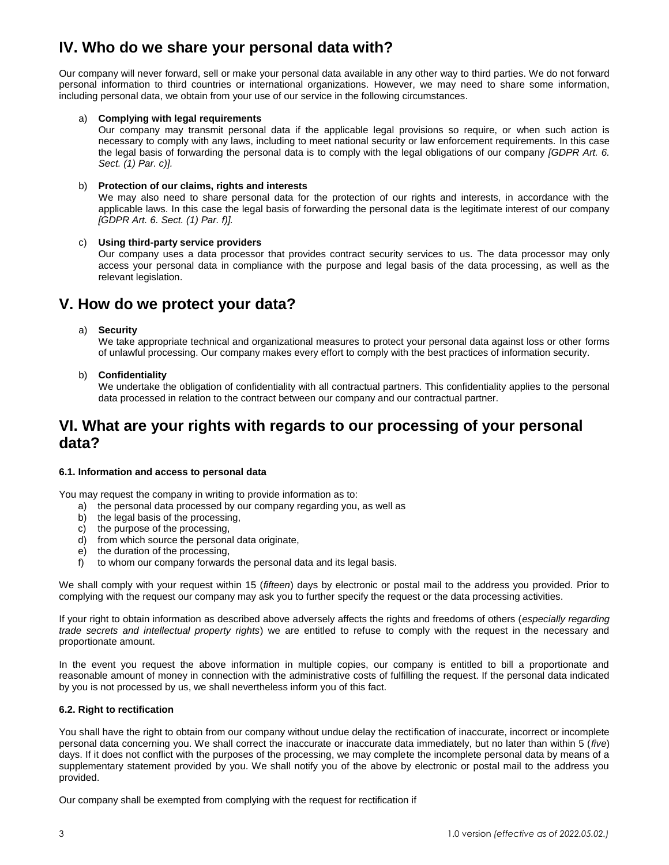### **IV. Who do we share your personal data with?**

Our company will never forward, sell or make your personal data available in any other way to third parties. We do not forward personal information to third countries or international organizations. However, we may need to share some information, including personal data, we obtain from your use of our service in the following circumstances.

### a) **Complying with legal requirements**

Our company may transmit personal data if the applicable legal provisions so require, or when such action is necessary to comply with any laws, including to meet national security or law enforcement requirements. In this case the legal basis of forwarding the personal data is to comply with the legal obligations of our company *[GDPR Art. 6. Sect. (1) Par. c)].*

### b) **Protection of our claims, rights and interests**

We may also need to share personal data for the protection of our rights and interests, in accordance with the applicable laws. In this case the legal basis of forwarding the personal data is the legitimate interest of our company *[GDPR Art. 6. Sect. (1) Par. f)].*

### c) **Using third-party service providers**

Our company uses a data processor that provides contract security services to us. The data processor may only access your personal data in compliance with the purpose and legal basis of the data processing, as well as the relevant legislation.

### **V. How do we protect your data?**

### a) **Security**

We take appropriate technical and organizational measures to protect your personal data against loss or other forms of unlawful processing. Our company makes every effort to comply with the best practices of information security.

b) **Confidentiality**

We undertake the obligation of confidentiality with all contractual partners. This confidentiality applies to the personal data processed in relation to the contract between our company and our contractual partner.

### **VI. What are your rights with regards to our processing of your personal data?**

### **6.1. Information and access to personal data**

You may request the company in writing to provide information as to:

- a) the personal data processed by our company regarding you, as well as
- b) the legal basis of the processing,
- c) the purpose of the processing,
- d) from which source the personal data originate,
- e) the duration of the processing,
- f) to whom our company forwards the personal data and its legal basis.

We shall comply with your request within 15 (*fifteen*) days by electronic or postal mail to the address you provided. Prior to complying with the request our company may ask you to further specify the request or the data processing activities.

If your right to obtain information as described above adversely affects the rights and freedoms of others (*especially regarding trade secrets and intellectual property rights*) we are entitled to refuse to comply with the request in the necessary and proportionate amount.

In the event you request the above information in multiple copies, our company is entitled to bill a proportionate and reasonable amount of money in connection with the administrative costs of fulfilling the request. If the personal data indicated by you is not processed by us, we shall nevertheless inform you of this fact.

### **6.2. Right to rectification**

You shall have the right to obtain from our company without undue delay the rectification of inaccurate, incorrect or incomplete personal data concerning you. We shall correct the inaccurate or inaccurate data immediately, but no later than within 5 (*five*) days. If it does not conflict with the purposes of the processing, we may complete the incomplete personal data by means of a supplementary statement provided by you. We shall notify you of the above by electronic or postal mail to the address you provided.

Our company shall be exempted from complying with the request for rectification if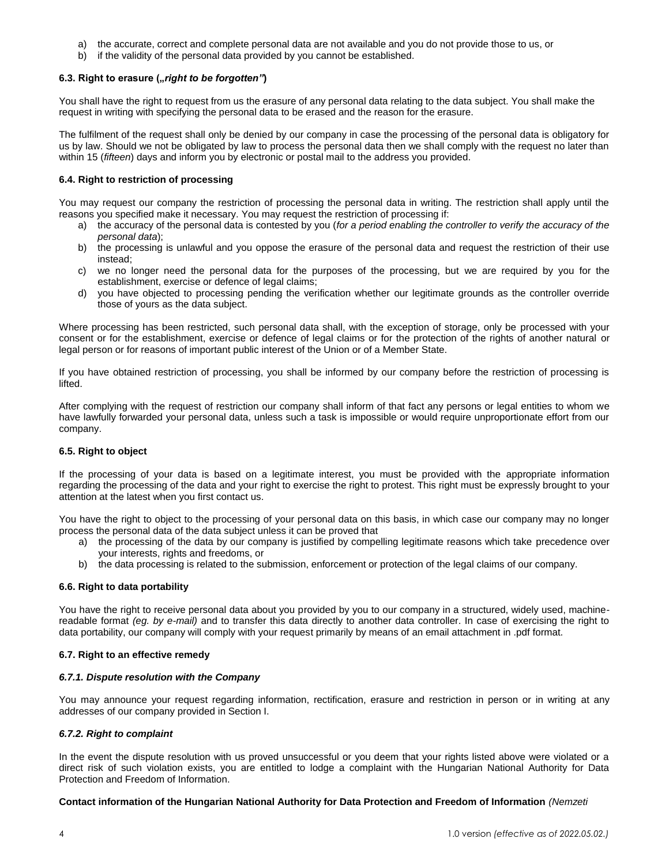- a) the accurate, correct and complete personal data are not available and you do not provide those to us, or
- b) if the validity of the personal data provided by you cannot be established.

### 6.3. Right to erasure ("right to be forgotten")

You shall have the right to request from us the erasure of any personal data relating to the data subject. You shall make the request in writing with specifying the personal data to be erased and the reason for the erasure.

The fulfilment of the request shall only be denied by our company in case the processing of the personal data is obligatory for us by law. Should we not be obligated by law to process the personal data then we shall comply with the request no later than within 15 (*fifteen*) days and inform you by electronic or postal mail to the address you provided.

### **6.4. Right to restriction of processing**

You may request our company the restriction of processing the personal data in writing. The restriction shall apply until the reasons you specified make it necessary. You may request the restriction of processing if:

- a) the accuracy of the personal data is contested by you (*for a period enabling the controller to verify the accuracy of the personal data*);
- b) the processing is unlawful and you oppose the erasure of the personal data and request the restriction of their use instead;
- c) we no longer need the personal data for the purposes of the processing, but we are required by you for the establishment, exercise or defence of legal claims;
- d) you have objected to processing pending the verification whether our legitimate grounds as the controller override those of yours as the data subject.

Where processing has been restricted, such personal data shall, with the exception of storage, only be processed with your consent or for the establishment, exercise or defence of legal claims or for the protection of the rights of another natural or legal person or for reasons of important public interest of the Union or of a Member State.

If you have obtained restriction of processing, you shall be informed by our company before the restriction of processing is lifted.

After complying with the request of restriction our company shall inform of that fact any persons or legal entities to whom we have lawfully forwarded your personal data, unless such a task is impossible or would require unproportionate effort from our company.

#### **6.5. Right to object**

If the processing of your data is based on a legitimate interest, you must be provided with the appropriate information regarding the processing of the data and your right to exercise the right to protest. This right must be expressly brought to your attention at the latest when you first contact us.

You have the right to object to the processing of your personal data on this basis, in which case our company may no longer process the personal data of the data subject unless it can be proved that

- a) the processing of the data by our company is justified by compelling legitimate reasons which take precedence over your interests, rights and freedoms, or
- b) the data processing is related to the submission, enforcement or protection of the legal claims of our company.

#### **6.6. Right to data portability**

You have the right to receive personal data about you provided by you to our company in a structured, widely used, machinereadable format *(eg. by e-mail)* and to transfer this data directly to another data controller. In case of exercising the right to data portability, our company will comply with your request primarily by means of an email attachment in .pdf format.

#### **6.7. Right to an effective remedy**

#### *6.7.1. Dispute resolution with the Company*

You may announce your request regarding information, rectification, erasure and restriction in person or in writing at any addresses of our company provided in Section I.

### *6.7.2. Right to complaint*

In the event the dispute resolution with us proved unsuccessful or you deem that your rights listed above were violated or a direct risk of such violation exists, you are entitled to lodge a complaint with the Hungarian National Authority for Data Protection and Freedom of Information.

#### **Contact information of the Hungarian National Authority for Data Protection and Freedom of Information** *(Nemzeti*